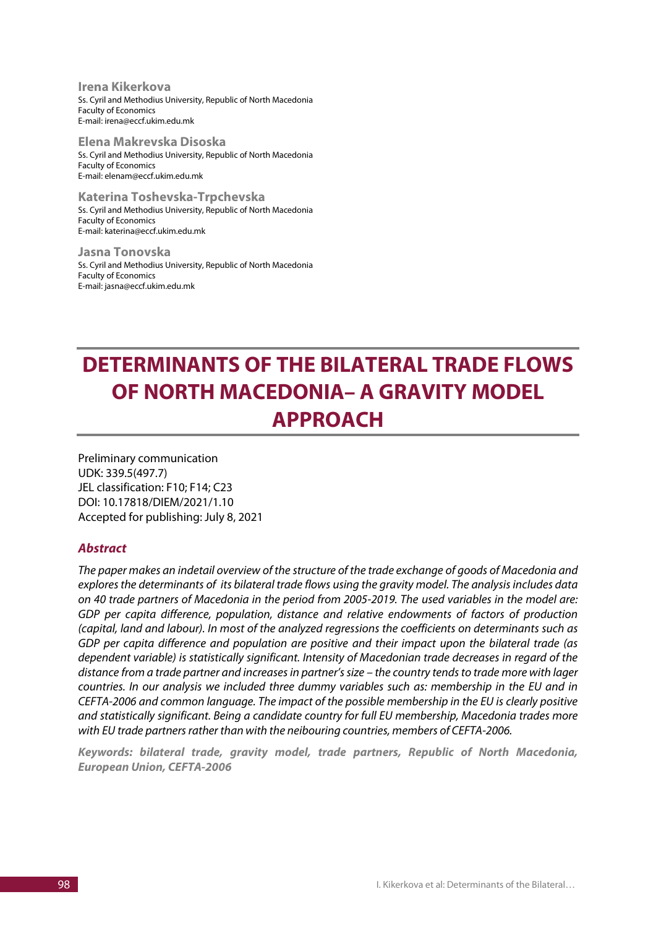**Irena Kikerkova** Ss. Cyril and Methodius University, Republic of North Macedonia Faculty of Economics E-mail: irena@eccf.ukim.edu.mk

**Elena Makrevska Disoska** Ss. Cyril and Methodius University, Republic of North Macedonia Faculty of Economics E-mail: elenam@eccf.ukim.edu.mk

**Katerina Toshevska-Trpchevska** Ss. Cyril and Methodius University, Republic of North Macedonia Faculty of Economics E-mail: katerina@eccf.ukim.edu.mk

**Jasna Tonovska** Ss. Cyril and Methodius University, Republic of North Macedonia Faculty of Economics E-mail: jasna@eccf.ukim.edu.mk

# **DETERMINANTS OF THE BILATERAL TRADE FLOWS OF NORTH MACEDONIA– A GRAVITY MODEL APPROACH**

Preliminary communication UDK: 339.5(497.7) JEL classification: F10; F14; C23 DOI: 10.17818/DIEM/2021/1.10 Accepted for publishing: July 8, 2021

### *Abstract*

*The paper makes an indetail overview of the structure of the trade exchange of goods of Macedonia and explores the determinants of its bilateral trade flows using the gravity model. The analysis includes data on 40 trade partners of Macedonia in the period from 2005-2019. The used variables in the model are: GDP per capita difference, population, distance and relative endowments of factors of production (capital, land and labour). In most of the analyzed regressions the coefficients on determinants such as GDP per capita difference and population are positive and their impact upon the bilateral trade (as dependent variable) is statistically significant. Intensity of Macedonian trade decreases in regard of the distance from a trade partner and increases in partner's size – the country tends to trade more with lager countries. In our analysis we included three dummy variables such as: membership in the EU and in CEFTA-2006 and common language. The impact of the possible membership in the EU is clearly positive and statistically significant. Being a candidate country for full EU membership, Macedonia trades more*  with EU trade partners rather than with the neibouring countries, members of CEFTA-2006.

*Keywords: bilateral trade, gravity model, trade partners, Republic of North Macedonia, European Union, CEFTA-2006*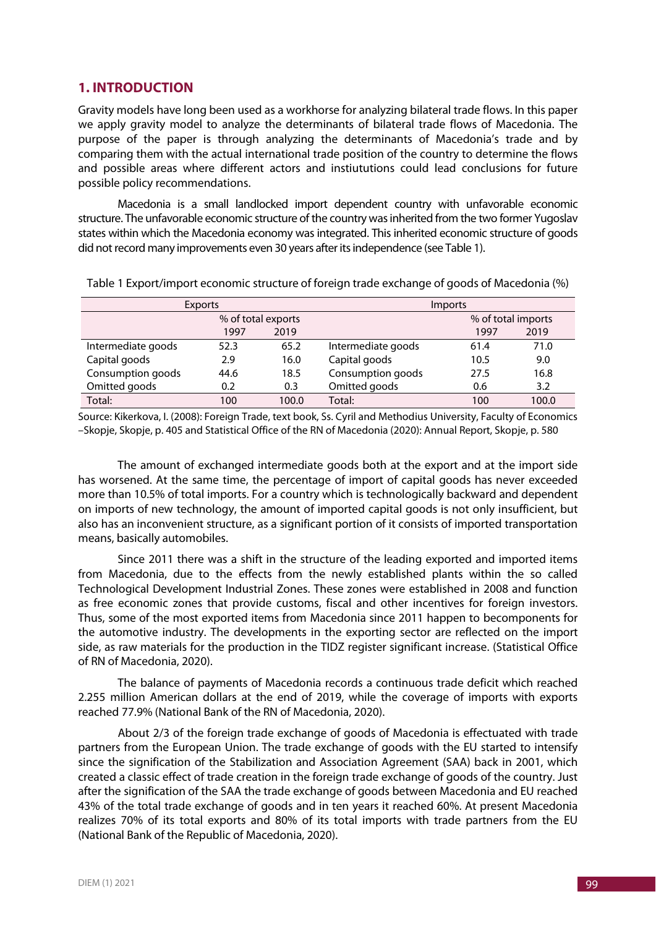## **1. INTRODUCTION**

Gravity models have long been used as a workhorse for analyzing bilateral trade flows. In this paper we apply gravity model to analyze the determinants of bilateral trade flows of Macedonia. The purpose of the paper is through analyzing the determinants of Macedonia's trade and by comparing them with the actual international trade position of the country to determine the flows and possible areas where different actors and instiututions could lead conclusions for future possible policy recommendations.

Macedonia is a small landlocked import dependent country with unfavorable economic structure. The unfavorable economic structure of the country was inherited from the two former Yugoslav states within which the Macedonia economy was integrated. This inherited economic structure of goods did not record many improvements even 30 years after its independence (see Table 1).

|                    | Exports |       | <i>Imports</i>     |      |       |  |
|--------------------|---------|-------|--------------------|------|-------|--|
| % of total exports |         |       | % of total imports |      |       |  |
|                    | 1997    | 2019  |                    | 1997 | 2019  |  |
| Intermediate goods | 52.3    | 65.2  | Intermediate goods | 61.4 | 71.0  |  |
| Capital goods      | 2.9     | 16.0  | Capital goods      | 10.5 | 9.0   |  |
| Consumption goods  | 44.6    | 18.5  | Consumption goods  | 27.5 | 16.8  |  |
| Omitted goods      | 0.2     | 0.3   | Omitted goods      | 0.6  | 3.2   |  |
| Total:             | 100     | 100.0 | Total:             | 100  | 100.0 |  |

Table 1 Export/import economic structure of foreign trade exchange of goods of Macedonia (%)

Source: Kikerkova, I. (2008): Foreign Trade, text book, Ss. Cyril and Methodius University, Faculty of Economics –Skopje, Skopje, p. 405 and Statistical Office of the RN of Macedonia (2020): Annual Report, Skopje, p. 580

The amount of exchanged intermediate goods both at the export and at the import side has worsened. At the same time, the percentage of import of capital goods has never exceeded more than 10.5% of total imports. For a country which is technologically backward and dependent on imports of new technology, the amount of imported capital goods is not only insufficient, but also has an inconvenient structure, as a significant portion of it consists of imported transportation means, basically automobiles.

Since 2011 there was a shift in the structure of the leading exported and imported items from Macedonia, due to the effects from the newly established plants within the so called Technological Development Industrial Zones. These zones were established in 2008 and function as free economic zones that provide customs, fiscal and other incentives for foreign investors. Thus, some of the most exported items from Macedonia since 2011 happen to becomponents for the automotive industry. The developments in the exporting sector are reflected on the import side, as raw materials for the production in the TIDZ register significant increase. (Statistical Office of RN of Macedonia, 2020).

The balance of payments of Macedonia records a continuous trade deficit which reached 2.255 million American dollars at the end of 2019, while the coverage of imports with exports reached 77.9% (National Bank of the RN of Macedonia, 2020).

About 2/3 of the foreign trade exchange of goods of Macedonia is effectuated with trade partners from the European Union. The trade exchange of goods with the EU started to intensify since the signification of the Stabilization and Association Agreement (SAA) back in 2001, which created a classic effect of trade creation in the foreign trade exchange of goods of the country. Just after the signification of the SAA the trade exchange of goods between Macedonia and EU reached 43% of the total trade exchange of goods and in ten years it reached 60%. At present Macedonia realizes 70% of its total exports and 80% of its total imports with trade partners from the EU (National Bank of the Republic of Macedonia, 2020).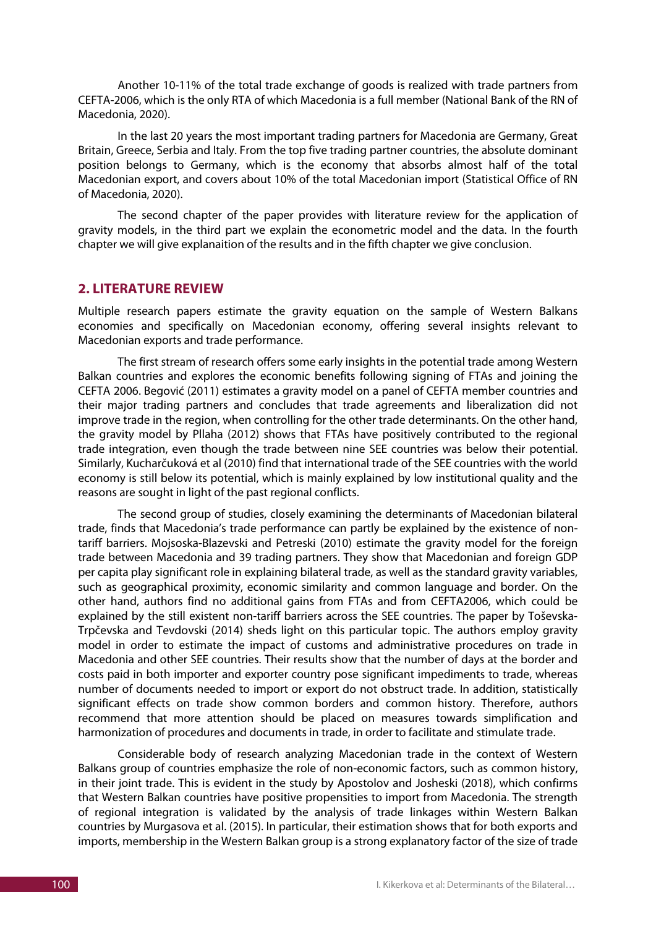Another 10-11% of the total trade exchange of goods is realized with trade partners from CEFTA-2006, which is the only RTA of which Macedonia is a full member (National Bank of the RN of Macedonia, 2020).

In the last 20 years the most important trading partners for Macedonia are Germany, Great Britain, Greece, Serbia and Italy. From the top five trading partner countries, the absolute dominant position belongs to Germany, which is the economy that absorbs almost half of the total Macedonian export, and covers about 10% of the total Macedonian import (Statistical Office of RN of Macedonia, 2020).

The second chapter of the paper provides with literature review for the application of gravity models, in the third part we explain the econometric model and the data. In the fourth chapter we will give explanaition of the results and in the fifth chapter we give conclusion.

#### **2. LITERATURE REVIEW**

Multiple research papers estimate the gravity equation on the sample of Western Balkans economies and specifically on Macedonian economy, offering several insights relevant to Macedonian exports and trade performance.

The first stream of research offers some early insights in the potential trade among Western Balkan countries and explores the economic benefits following signing of FTAs and joining the CEFTA 2006. Begović (2011) estimates a gravity model on a panel of CEFTA member countries and their major trading partners and concludes that trade agreements and liberalization did not improve trade in the region, when controlling for the other trade determinants. On the other hand, the gravity model by Pllaha (2012) shows that FTAs have positively contributed to the regional trade integration, even though the trade between nine SEE countries was below their potential. Similarly, Kucharčuková et al (2010) find that international trade of the SEE countries with the world economy is still below its potential, which is mainly explained by low institutional quality and the reasons are sought in light of the past regional conflicts.

The second group of studies, closely examining the determinants of Macedonian bilateral trade, finds that Macedonia's trade performance can partly be explained by the existence of nontariff barriers. Mojsoska-Blazevski and Petreski (2010) estimate the gravity model for the foreign trade between Macedonia and 39 trading partners. They show that Macedonian and foreign GDP per capita play significant role in explaining bilateral trade, as well as the standard gravity variables, such as geographical proximity, economic similarity and common language and border. On the other hand, authors find no additional gains from FTAs and from CEFTA2006, which could be explained by the still existent non-tariff barriers across the SEE countries. The paper by Toševska-Trpčevska and Tevdovski (2014) sheds light on this particular topic. The authors employ gravity model in order to estimate the impact of customs and administrative procedures on trade in Macedonia and other SEE countries. Their results show that the number of days at the border and costs paid in both importer and exporter country pose significant impediments to trade, whereas number of documents needed to import or export do not obstruct trade. In addition, statistically significant effects on trade show common borders and common history. Therefore, authors recommend that more attention should be placed on measures towards simplification and harmonization of procedures and documents in trade, in order to facilitate and stimulate trade.

Considerable body of research analyzing Macedonian trade in the context of Western Balkans group of countries emphasize the role of non-economic factors, such as common history, in their joint trade. This is evident in the study by Apostolov and Josheski (2018), which confirms that Western Balkan countries have positive propensities to import from Macedonia. The strength of regional integration is validated by the analysis of trade linkages within Western Balkan countries by Murgasova et al. (2015). In particular, their estimation shows that for both exports and imports, membership in the Western Balkan group is a strong explanatory factor of the size of trade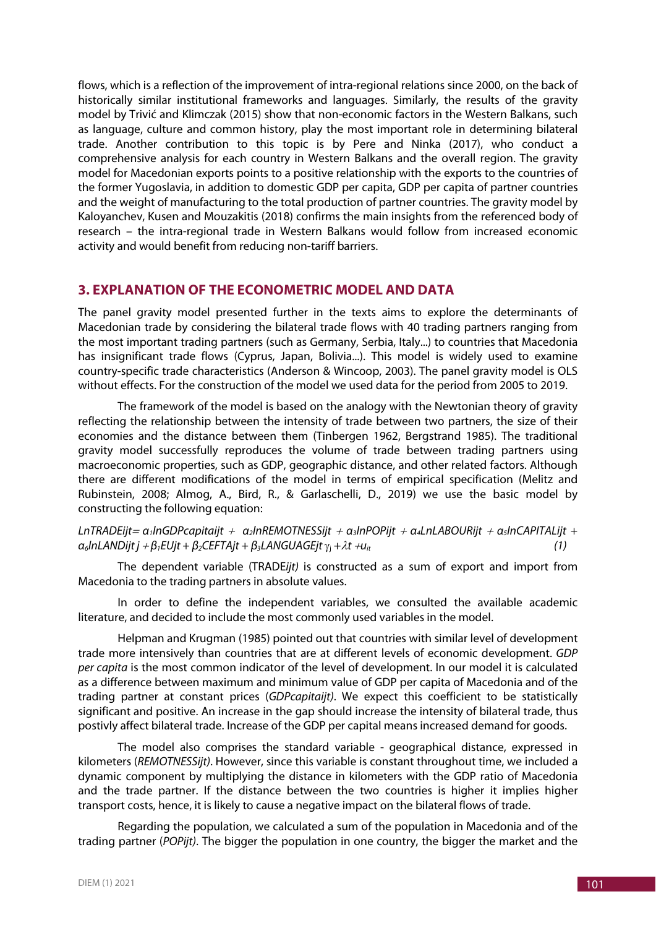flows, which is a reflection of the improvement of intra-regional relations since 2000, on the back of historically similar institutional frameworks and languages. Similarly, the results of the gravity model by Trivić and Klimczak (2015) show that non-economic factors in the Western Balkans, such as language, culture and common history, play the most important role in determining bilateral trade. Another contribution to this topic is by Pere and Ninka (2017), who conduct a comprehensive analysis for each country in Western Balkans and the overall region. The gravity model for Macedonian exports points to a positive relationship with the exports to the countries of the former Yugoslavia, in addition to domestic GDP per capita, GDP per capita of partner countries and the weight of manufacturing to the total production of partner countries. The gravity model by Kaloyanchev, Kusen and Mouzakitis (2018) confirms the main insights from the referenced body of research – the intra-regional trade in Western Balkans would follow from increased economic activity and would benefit from reducing non-tariff barriers.

### **3. EXPLANATION OF THE ECONOMETRIC MODEL AND DATA**

The panel gravity model presented further in the texts aims to explore the determinants of Macedonian trade by considering the bilateral trade flows with 40 trading partners ranging from the most important trading partners (such as Germany, Serbia, Italy...) to countries that Macedonia has insignificant trade flows (Cyprus, Japan, Bolivia...). This model is widely used to examine country-specific trade characteristics (Anderson & Wincoop, 2003). The panel gravity model is OLS without effects. For the construction of the model we used data for the period from 2005 to 2019.

The framework of the model is based on the analogy with the Newtonian theory of gravity reflecting the relationship between the intensity of trade between two partners, the size of their economies and the distance between them (Tinbergen 1962, Bergstrand 1985). The traditional gravity model successfully reproduces the volume of trade between trading partners using macroeconomic properties, such as GDP, geographic distance, and other related factors. Although there are different modifications of the model in terms of empirical specification (Melitz and Rubinstein, 2008; Almog, A., Bird, R., & Garlaschelli, D., 2019) we use the basic model by constructing the following equation:

*LnTRADEijt*<sup>=</sup> *α1lnGDPcapitaijt* + *α2lnREMOTNESSijt* <sup>+</sup> *α3lnPOPijt* <sup>+</sup> *α4LnLABOURijt* <sup>+</sup> *α5lnCAPITALijt +*   $\alpha_6$ InLANDijt j +  $\beta_1$ EUjt +  $\beta_2$ CEFTAjt +  $\beta_3$ LANGUAGEjt $\gamma_i + \lambda t$  + $u_{it}$  (1)

The dependent variable (TRADE*ijt)* is constructed as a sum of export and import from Macedonia to the trading partners in absolute values.

In order to define the independent variables, we consulted the available academic literature, and decided to include the most commonly used variables in the model.

Helpman and Krugman (1985) pointed out that countries with similar level of development trade more intensively than countries that are at different levels of economic development. *GDP per capita* is the most common indicator of the level of development. In our model it is calculated as a difference between maximum and minimum value of GDP per capita of Macedonia and of the trading partner at constant prices (*GDPcapitaijt)*. We expect this coefficient to be statistically significant and positive. An increase in the gap should increase the intensity of bilateral trade, thus postivly affect bilateral trade. Increase of the GDP per capital means increased demand for goods.

The model also comprises the standard variable - geographical distance, expressed in kilometers (*REMOTNESSijt)*. However, since this variable is constant throughout time, we included a dynamic component by multiplying the distance in kilometers with the GDP ratio of Macedonia and the trade partner. If the distance between the two countries is higher it implies higher transport costs, hence, it is likely to cause a negative impact on the bilateral flows of trade.

Regarding the population, we calculated a sum of the population in Macedonia and of the trading partner (*POPijt)*. The bigger the population in one country, the bigger the market and the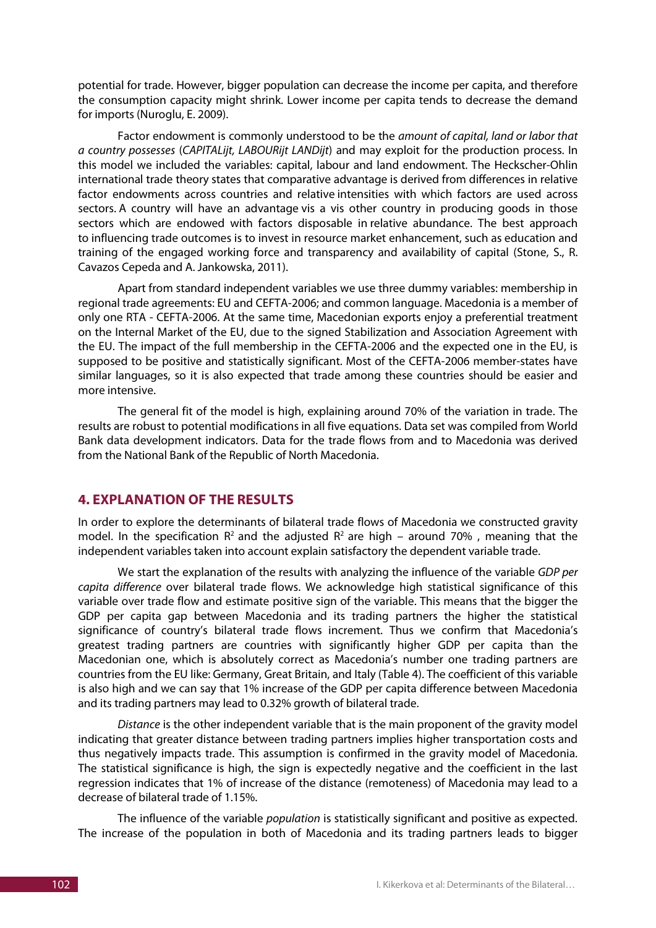potential for trade. However, bigger population can decrease the income per capita, and therefore the consumption capacity might shrink. Lower income per capita tends to decrease the demand for imports (Nuroglu, E. 2009).

Factor endowment is commonly understood to be the *amount of capital, land or labor that a country possesses* (*CAPITALijt, LABOURijt LANDijt*) and may exploit for the production process. In this model we included the variables: capital, labour and land endowment. The Heckscher-Ohlin international trade theory states that comparative advantage is derived from differences in relative factor endowments across countries and relative intensities with which factors are used across sectors. A country will have an advantage vis a vis other country in producing goods in those sectors which are endowed with factors disposable in relative abundance. The best approach to influencing trade outcomes is to invest in resource market enhancement, such as education and training of the engaged working force and transparency and availability of capital (Stone, S., R. Cavazos Cepeda and A. Jankowska, 2011).

Apart from standard independent variables we use three dummy variables: membership in regional trade agreements: EU and CEFTA-2006; and common language. Macedonia is a member of only one RTA - CEFTA-2006. At the same time, Macedonian exports enjoy a preferential treatment on the Internal Market of the EU, due to the signed Stabilization and Association Agreement with the EU. The impact of the full membership in the CEFTA-2006 and the expected one in the EU, is supposed to be positive and statistically significant. Most of the CEFTA-2006 member-states have similar languages, so it is also expected that trade among these countries should be easier and more intensive.

The general fit of the model is high, explaining around 70% of the variation in trade. The results are robust to potential modifications in all five equations. Data set was compiled from World Bank data development indicators. Data for the trade flows from and to Macedonia was derived from the National Bank of the Republic of North Macedonia.

### **4. EXPLANATION OF THE RESULTS**

In order to explore the determinants of bilateral trade flows of Macedonia we constructed gravity model. In the specification  $R^2$  and the adjusted  $R^2$  are high – around 70%, meaning that the independent variables taken into account explain satisfactory the dependent variable trade.

We start the explanation of the results with analyzing the influence of the variable *GDP per capita difference* over bilateral trade flows. We acknowledge high statistical significance of this variable over trade flow and estimate positive sign of the variable. This means that the bigger the GDP per capita gap between Macedonia and its trading partners the higher the statistical significance of country's bilateral trade flows increment. Thus we confirm that Macedonia's greatest trading partners are countries with significantly higher GDP per capita than the Macedonian one, which is absolutely correct as Macedonia's number one trading partners are countries from the EU like: Germany, Great Britain, and Italy (Table 4). The coefficient of this variable is also high and we can say that 1% increase of the GDP per capita difference between Macedonia and its trading partners may lead to 0.32% growth of bilateral trade.

*Distance* is the other independent variable that is the main proponent of the gravity model indicating that greater distance between trading partners implies higher transportation costs and thus negatively impacts trade. This assumption is confirmed in the gravity model of Macedonia. The statistical significance is high, the sign is expectedly negative and the coefficient in the last regression indicates that 1% of increase of the distance (remoteness) of Macedonia may lead to a decrease of bilateral trade of 1.15%.

The influence of the variable *population* is statistically significant and positive as expected. The increase of the population in both of Macedonia and its trading partners leads to bigger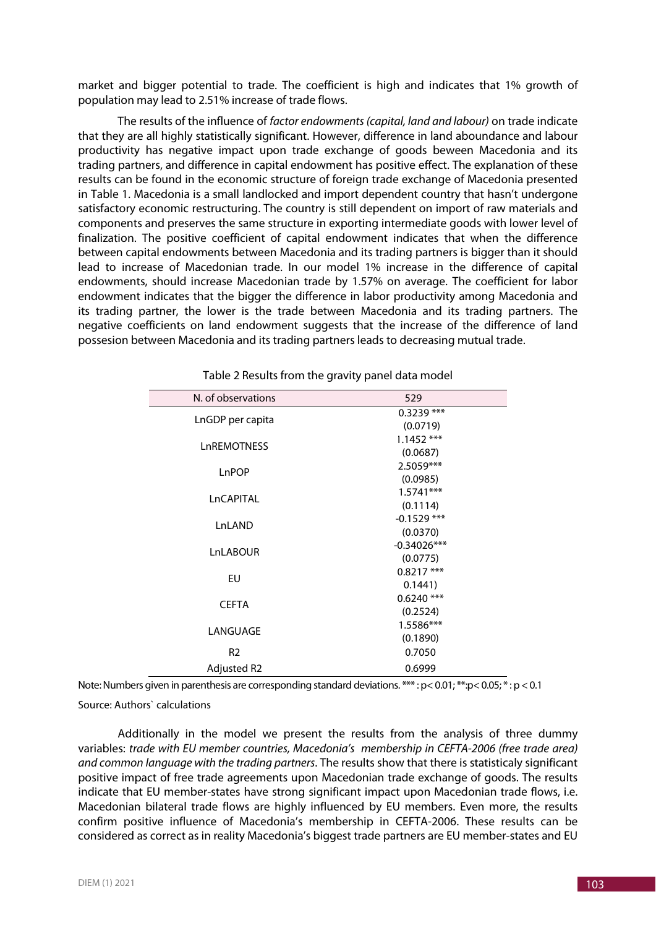market and bigger potential to trade. The coefficient is high and indicates that 1% growth of population may lead to 2.51% increase of trade flows.

The results of the influence of *factor endowments(capital, land and labour)* on trade indicate that they are all highly statistically significant. However, difference in land aboundance and labour productivity has negative impact upon trade exchange of goods beween Macedonia and its trading partners, and difference in capital endowment has positive effect. The explanation of these results can be found in the economic structure of foreign trade exchange of Macedonia presented in Table 1. Macedonia is a small landlocked and import dependent country that hasn't undergone satisfactory economic restructuring. The country is still dependent on import of raw materials and components and preserves the same structure in exporting intermediate goods with lower level of finalization. The positive coefficient of capital endowment indicates that when the difference between capital endowments between Macedonia and its trading partners is bigger than it should lead to increase of Macedonian trade. In our model 1% increase in the difference of capital endowments, should increase Macedonian trade by 1.57% on average. The coefficient for labor endowment indicates that the bigger the difference in labor productivity among Macedonia and its trading partner, the lower is the trade between Macedonia and its trading partners. The negative coefficients on land endowment suggests that the increase of the difference of land possesion between Macedonia and its trading partners leads to decreasing mutual trade.

| N. of observations | 529           |  |  |
|--------------------|---------------|--|--|
|                    | $0.3239***$   |  |  |
| LnGDP per capita   | (0.0719)      |  |  |
| LnREMOTNESS        | $1.1452$ ***  |  |  |
|                    | (0.0687)      |  |  |
| LnPOP              | 2.5059***     |  |  |
|                    | (0.0985)      |  |  |
| LnCAPITAL          | $1.5741***$   |  |  |
|                    | (0.1114)      |  |  |
| LnLAND             | $-0.1529$ *** |  |  |
|                    | (0.0370)      |  |  |
| LnLABOUR           | $-0.34026***$ |  |  |
|                    | (0.0775)      |  |  |
| EU                 | $0.8217$ ***  |  |  |
|                    | 0.1441        |  |  |
| <b>CEFTA</b>       | $0.6240$ ***  |  |  |
|                    | (0.2524)      |  |  |
| LANGUAGE           | 1.5586***     |  |  |
|                    | (0.1890)      |  |  |
| R <sub>2</sub>     | 0.7050        |  |  |
| <b>Adjusted R2</b> | 0.6999        |  |  |

Table 2 Results from the gravity panel data model

Note: Numbers given in parenthesis are corresponding standard deviations. \*\*\* : p< 0.01; \*\*:p< 0.05; \* : p < 0.1

Source: Authors` calculations

Additionally in the model we present the results from the analysis of three dummy variables: *trade with EU member countries, Macedonia's membership in CEFTA-2006 (free trade area) and common language with the trading partners*. The results show that there is statisticaly significant positive impact of free trade agreements upon Macedonian trade exchange of goods. The results indicate that EU member-states have strong significant impact upon Macedonian trade flows, i.e. Macedonian bilateral trade flows are highly influenced by EU members. Even more, the results confirm positive influence of Macedonia's membership in CEFTA-2006. These results can be considered as correct as in reality Macedonia's biggest trade partners are EU member-states and EU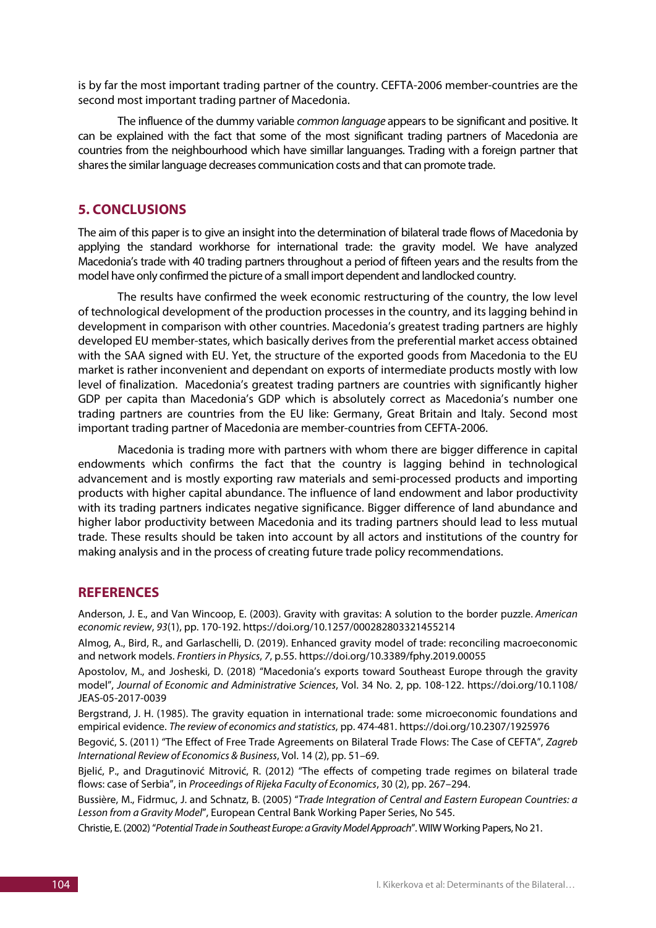is by far the most important trading partner of the country. CEFTA-2006 member-countries are the second most important trading partner of Macedonia.

The influence of the dummy variable *common language* appears to be significant and positive. It can be explained with the fact that some of the most significant trading partners of Macedonia are countries from the neighbourhood which have simillar languanges. Trading with a foreign partner that shares the similar language decreases communication costs and that can promote trade.

## **5. CONCLUSIONS**

The aim of this paper is to give an insight into the determination of bilateral trade flows of Macedonia by applying the standard workhorse for international trade: the gravity model. We have analyzed Macedonia's trade with 40 trading partners throughout a period of fifteen years and the results from the model have only confirmed the picture of a small import dependent and landlocked country.

The results have confirmed the week economic restructuring of the country, the low level of technological development of the production processes in the country, and its lagging behind in development in comparison with other countries. Macedonia's greatest trading partners are highly developed EU member-states, which basically derives from the preferential market access obtained with the SAA signed with EU. Yet, the structure of the exported goods from Macedonia to the EU market is rather inconvenient and dependant on exports of intermediate products mostly with low level of finalization. Macedonia's greatest trading partners are countries with significantly higher GDP per capita than Macedonia's GDP which is absolutely correct as Macedonia's number one trading partners are countries from the EU like: Germany, Great Britain and Italy. Second most important trading partner of Macedonia are member-countries from CEFTA-2006.

Macedonia is trading more with partners with whom there are bigger difference in capital endowments which confirms the fact that the country is lagging behind in technological advancement and is mostly exporting raw materials and semi-processed products and importing products with higher capital abundance. The influence of land endowment and labor productivity with its trading partners indicates negative significance. Bigger difference of land abundance and higher labor productivity between Macedonia and its trading partners should lead to less mutual trade. These results should be taken into account by all actors and institutions of the country for making analysis and in the process of creating future trade policy recommendations.

### **REFERENCES**

Anderson, J. E., and Van Wincoop, E. (2003). Gravity with gravitas: A solution to the border puzzle. *American economic review*, *93*(1), pp. 170-192. https://doi.org/10.1257/000282803321455214

Almog, A., Bird, R., and Garlaschelli, D. (2019). Enhanced gravity model of trade: reconciling macroeconomic and network models. *Frontiers in Physics*, *7*, p.55. https://doi.org/10.3389/fphy.2019.00055

Apostolov, M., and Josheski, D. (2018) "Macedonia's exports toward Southeast Europe through the gravity model", *Journal of Economic and Administrative Sciences*, Vol. 34 No. 2, pp. 108-122. https://doi.org/10.1108/ JEAS-05-2017-0039

Bergstrand, J. H. (1985). The gravity equation in international trade: some microeconomic foundations and empirical evidence. *The review of economics and statistics*, pp. 474-481. https://doi.org/10.2307/1925976

Begović, S. (2011) "The Effect of Free Trade Agreements on Bilateral Trade Flows: The Case of CEFTA", *Zagreb International Review of Economics & Business*, Vol. 14 (2), pp. 51–69.

Bjelić, P., and Dragutinović Mitrović, R. (2012) "The effects of competing trade regimes on bilateral trade flows: case of Serbia", in *Proceedings of Rijeka Faculty of Economics*, 30 (2), pp. 267–294.

Bussière, M., Fidrmuc, J. and Schnatz, B. (2005) "*Trade Integration of Central and Eastern European Countries: a Lesson from a Gravity Model*", European Central Bank Working Paper Series, No 545.

Christie, E. (2002) "*Potential Trade in Southeast Europe: a Gravity Model Approach*". WIIW Working Papers, No 21.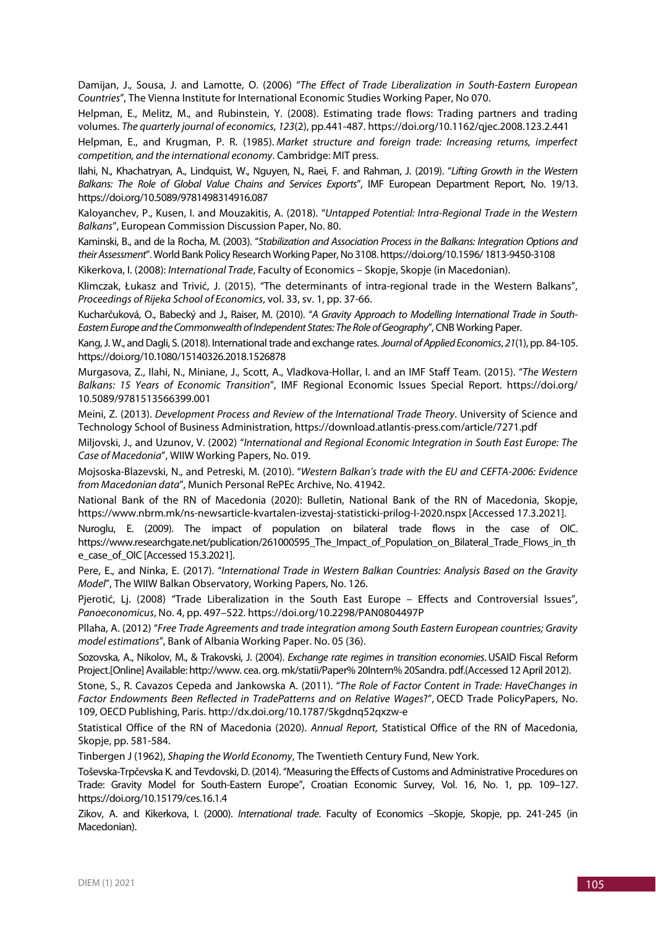Damijan, J., Sousa, J. and Lamotte, O. (2006) "*The Effect of Trade Liberalization in South-Eastern European Countries*", The Vienna Institute for International Economic Studies Working Paper, No 070.

Helpman, E., Melitz, M., and Rubinstein, Y. (2008). Estimating trade flows: Trading partners and trading volumes. *The quarterly journal of economics*, *123*(2), pp.441-487. https://doi.org/10.1162/qjec.2008.123.2.441

Helpman, E., and Krugman, P. R. (1985). *Market structure and foreign trade: Increasing returns, imperfect competition, and the international economy*. Cambridge: MIT press.

Ilahi, N., Khachatryan, A., Lindquist, W., Nguyen, N., Raei, F. and Rahman, J. (2019). "*Lifting Growth in the Western Balkans: The Role of Global Value Chains and Services Exports*", IMF European Department Report, No. 19/13. https://doi.org/10.5089/9781498314916.087

Kaloyanchev, P., Kusen, I. and Mouzakitis, A. (2018). "*Untapped Potential: Intra-Regional Trade in the Western Balkans*", European Commission Discussion Paper, No. 80.

Kaminski, B., and de la Rocha, M. (2003). "*Stabilization and Association Process in the Balkans: Integration Options and their Assessment*". World Bank Policy Research Working Paper, No 3108. https://doi.org/10.1596/ 1813-9450-3108

Kikerkova, I. (2008): *International Trade*, Faculty of Economics – Skopje, Skopje (in Macedonian).

Klimczak, Łukasz and Trivić, J. (2015). "The determinants of intra-regional trade in the Western Balkans", *Proceedings of Rijeka School of Economics*, vol. 33, sv. 1, pp. 37-66.

Kucharčuková, O., Babecký and J., Raiser, M. (2010). "*A Gravity Approach to Modelling International Trade in South-Eastern Europe and the Commonwealth of Independent States: The Role of Geography*", CNB Working Paper.

Kang, J. W., and Dagli, S. (2018). International trade and exchange rates. *Journal of Applied Economics*, 21(1), pp. 84-105. https://doi.org/10.1080/15140326.2018.1526878

Murgasova, Z., Ilahi, N., Miniane, J., Scott, A., Vladkova-Hollar, I. and an IMF Staff Team. (2015). "*The Western Balkans: 15 Years of Economic Transition*", IMF Regional Economic Issues Special Report. https://doi.org/ 10.5089/9781513566399.001

Meini, Z. (2013). *Development Process and Review of the International Trade Theory*. University of Science and Technology School of Business Administration, https://download.atlantis-press.com/article/7271.pdf

Miljovski, J., and Uzunov, V. (2002) "*International and Regional Economic Integration in South East Europe: The Case of Macedonia*", WIIW Working Papers, No. 019.

Mojsoska-Blazevski, N., and Petreski, M. (2010). "*Western Balkan's trade with the EU and CEFTA-2006: Evidence from Macedonian data*", Munich Personal RePEc Archive, No. 41942.

National Bank of the RN of Macedonia (2020): Bulletin, National Bank of the RN of Macedonia, Skopje, https://www.nbrm.mk/ns-newsarticle-kvartalen-izvestaj-statisticki-prilog-I-2020.nspx [Accessed 17.3.2021].

Nuroglu, E. (2009). The impact of population on bilateral trade flows in the case of OIC. https://www.researchgate.net/publication/261000595\_The\_Impact\_of\_Population\_on\_Bilateral\_Trade\_Flows\_in\_th e\_case\_of\_OIC [Accessed 15.3.2021].

Pere, E., and Ninka, E. (2017). "*International Trade in Western Balkan Countries: Analysis Based on the Gravity Model*", The WIIW Balkan Observatory, Working Papers, No. 126.

Pjerotić, Lj. (2008) "Trade Liberalization in the South East Europe – Effects and Controversial Issues", *Panoeconomicus*, No. 4, pp. 497–522. https://doi.org/10.2298/PAN0804497P

Pllaha, A. (2012) "*Free Trade Agreements and trade integration among South Eastern European countries; Gravity model estimations*", Bank of Albania Working Paper. No. 05 (36).

Sozovska, A., Nikolov, M., & Trakovski, J. (2004). *Exchange rate regimes in transition economies*.USAID Fiscal Reform Project.[Online] Available: http://www. cea. org. mk/statii/Paper% 20Intern% 20Sandra. pdf.(Accessed 12 April 2012).

Stone, S., R. Cavazos Cepeda and Jankowska A. (2011). "*The Role of Factor Content in Trade: HaveChanges in Factor Endowments Been Reflected in TradePatterns and on Relative Wages*?", OECD Trade PolicyPapers, No. 109, OECD Publishing, Paris. http://dx.doi.org/10.1787/5kgdnq52qxzw-e

Statistical Office of the RN of Macedonia (2020). *Annual Report,* Statistical Office of the RN of Macedonia, Skopje, pp. 581-584.

Tinbergen J (1962), *Shaping the World Economy*, The Twentieth Century Fund, New York.

Toševska-Trpčevska K. and Tevdovski, D. (2014). "Measuring the Effects of Customs and Administrative Procedures on Trade: Gravity Model for South-Eastern Europe", Croatian Economic Survey, Vol. 16, No. 1, pp. 109–127. https://doi.org/10.15179/ces.16.1.4

Zikov, A. and Kikerkova, I. (2000). *International trade*. Faculty of Economics –Skopje, Skopje, pp. 241-245 (in Macedonian).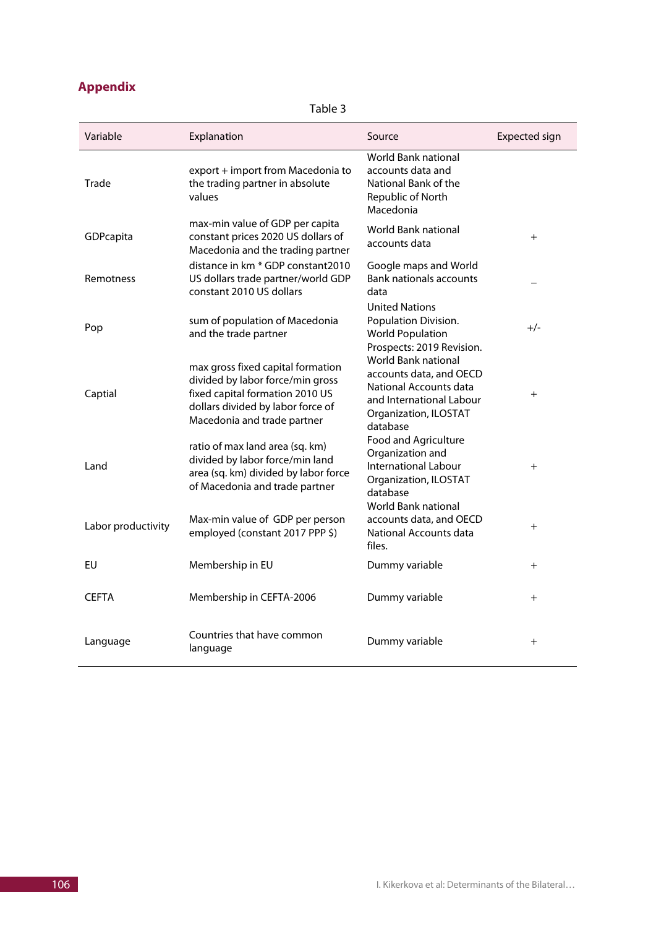|  |  |  | <b>Appendix</b> |  |
|--|--|--|-----------------|--|
|  |  |  |                 |  |

Table 3

| Variable           | Explanation                                                                                                                                                                  | Source                                                                                                                                    | <b>Expected sign</b> |
|--------------------|------------------------------------------------------------------------------------------------------------------------------------------------------------------------------|-------------------------------------------------------------------------------------------------------------------------------------------|----------------------|
| Trade              | export + import from Macedonia to<br>the trading partner in absolute<br>values                                                                                               | World Bank national<br>accounts data and<br>National Bank of the<br>Republic of North<br>Macedonia                                        |                      |
| GDPcapita          | max-min value of GDP per capita<br>constant prices 2020 US dollars of<br>Macedonia and the trading partner                                                                   | World Bank national<br>accounts data                                                                                                      | $+$                  |
| Remotness          | distance in km * GDP constant2010<br>US dollars trade partner/world GDP<br>constant 2010 US dollars                                                                          | Google maps and World<br><b>Bank nationals accounts</b><br>data                                                                           |                      |
| Pop                | sum of population of Macedonia<br>and the trade partner                                                                                                                      | <b>United Nations</b><br>Population Division.<br><b>World Population</b><br>Prospects: 2019 Revision.                                     | $+/-$                |
| Captial            | max gross fixed capital formation<br>divided by labor force/min gross<br>fixed capital formation 2010 US<br>dollars divided by labor force of<br>Macedonia and trade partner | World Bank national<br>accounts data, and OECD<br>National Accounts data<br>and International Labour<br>Organization, ILOSTAT<br>database | $+$                  |
| Land               | ratio of max land area (sq. km)<br>divided by labor force/min land<br>area (sq. km) divided by labor force<br>of Macedonia and trade partner                                 | Food and Agriculture<br>Organization and<br><b>International Labour</b><br>Organization, ILOSTAT<br>database<br>World Bank national       | $+$                  |
| Labor productivity | Max-min value of GDP per person<br>employed (constant 2017 PPP \$)                                                                                                           | accounts data, and OECD<br><b>National Accounts data</b><br>files.                                                                        | $\pm$                |
| EU                 | Membership in EU                                                                                                                                                             | Dummy variable                                                                                                                            | $\pm$                |
| <b>CEFTA</b>       | Membership in CEFTA-2006                                                                                                                                                     | Dummy variable                                                                                                                            | $\pm$                |
| Language           | Countries that have common<br>language                                                                                                                                       | Dummy variable                                                                                                                            | $+$                  |